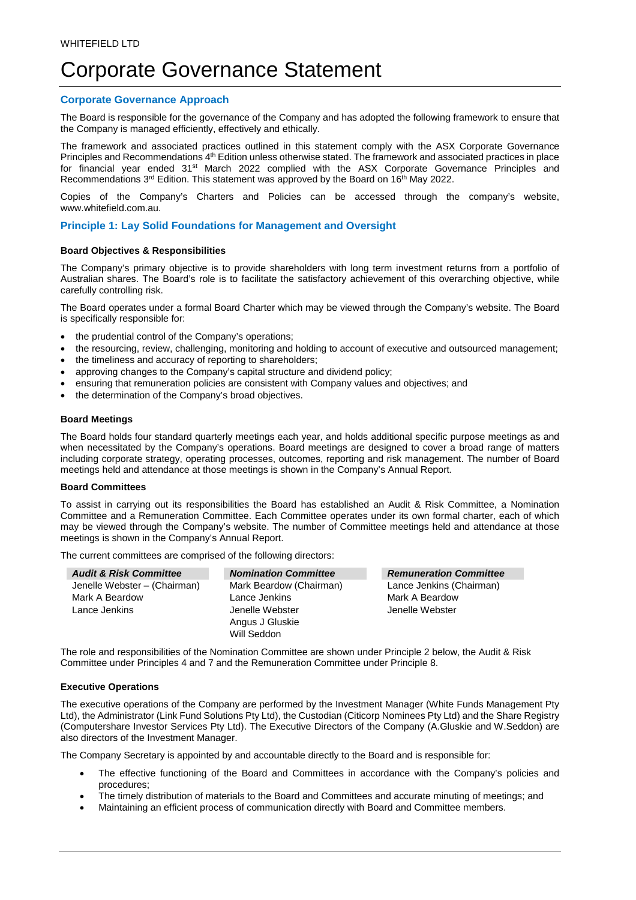# Corporate Governance Statement

## **Corporate Governance Approach**

The Board is responsible for the governance of the Company and has adopted the following framework to ensure that the Company is managed efficiently, effectively and ethically.

The framework and associated practices outlined in this statement comply with the ASX Corporate Governance Principles and Recommendations 4<sup>th</sup> Edition unless otherwise stated. The framework and associated practices in place for financial year ended 31<sup>st</sup> March 2022 complied with the ASX Corporate Governance Principles and Recommendations  $3<sup>rd</sup>$  Edition. This statement was approved by the Board on 16<sup>th</sup> May 2022.

Copies of the Company's Charters and Policies can be accessed through the company's website, www.whitefield.com.au.

#### **Principle 1: Lay Solid Foundations for Management and Oversight**

## **Board Objectives & Responsibilities**

The Company's primary objective is to provide shareholders with long term investment returns from a portfolio of Australian shares. The Board's role is to facilitate the satisfactory achievement of this overarching objective, while carefully controlling risk.

The Board operates under a formal Board Charter which may be viewed through the Company's website. The Board is specifically responsible for:

- the prudential control of the Company's operations;
- the resourcing, review, challenging, monitoring and holding to account of executive and outsourced management;
- the timeliness and accuracy of reporting to shareholders:
- approving changes to the Company's capital structure and dividend policy;
- ensuring that remuneration policies are consistent with Company values and objectives; and
- the determination of the Company's broad objectives.

#### **Board Meetings**

The Board holds four standard quarterly meetings each year, and holds additional specific purpose meetings as and when necessitated by the Company's operations. Board meetings are designed to cover a broad range of matters including corporate strategy, operating processes, outcomes, reporting and risk management. The number of Board meetings held and attendance at those meetings is shown in the Company's Annual Report.

#### **Board Committees**

To assist in carrying out its responsibilities the Board has established an Audit & Risk Committee, a Nomination Committee and a Remuneration Committee. Each Committee operates under its own formal charter, each of which may be viewed through the Company's website. The number of Committee meetings held and attendance at those meetings is shown in the Company's Annual Report.

The current committees are comprised of the following directors:

| <b>Audit &amp; Risk Committee</b> | <b>Nomination Committee</b> |
|-----------------------------------|-----------------------------|
| Jenelle Webster - (Chairman)      | Mark Beardow (Chairman)     |
| Mark A Beardow                    | Lance Jenkins               |
| Lance Jenkins                     | Jenelle Webster             |
|                                   | Angus J Gluskie             |
|                                   | Will Seddon                 |

*Audit & Risk Committee Nomination Committee Remuneration Committee*  Lance Jenkins (Chairman) Mark A Beardow Jenelle Webster

The role and responsibilities of the Nomination Committee are shown under Principle 2 below, the Audit & Risk Committee under Principles 4 and 7 and the Remuneration Committee under Principle 8.

#### **Executive Operations**

The executive operations of the Company are performed by the Investment Manager (White Funds Management Pty Ltd), the Administrator (Link Fund Solutions Pty Ltd), the Custodian (Citicorp Nominees Pty Ltd) and the Share Registry (Computershare Investor Services Pty Ltd). The Executive Directors of the Company (A.Gluskie and W.Seddon) are also directors of the Investment Manager.

The Company Secretary is appointed by and accountable directly to the Board and is responsible for:

- The effective functioning of the Board and Committees in accordance with the Company's policies and procedures;
- The timely distribution of materials to the Board and Committees and accurate minuting of meetings; and
- Maintaining an efficient process of communication directly with Board and Committee members.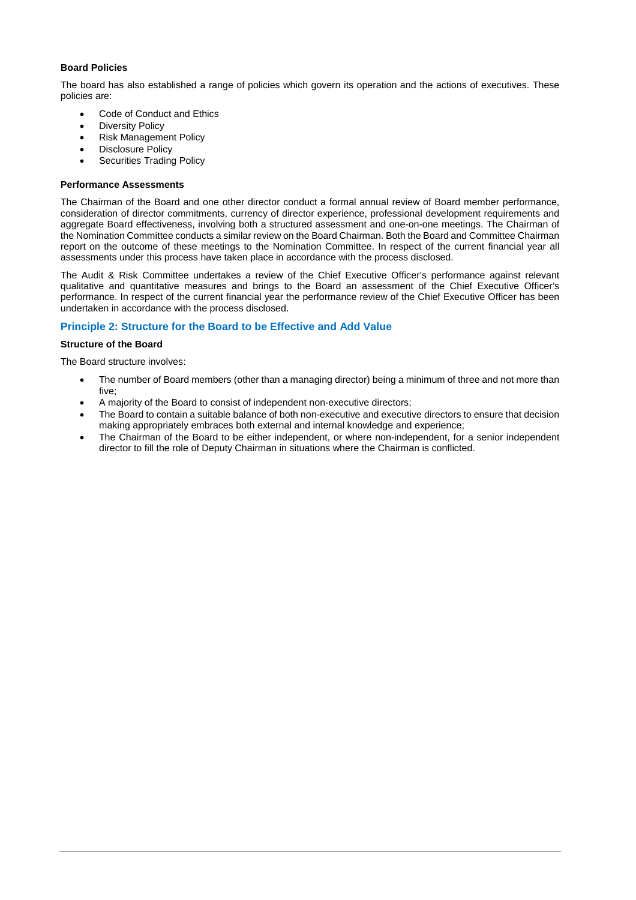## **Board Policies**

The board has also established a range of policies which govern its operation and the actions of executives. These policies are:

- Code of Conduct and Ethics
- Diversity Policy
- Risk Management Policy
- Disclosure Policy
- Securities Trading Policy

#### **Performance Assessments**

The Chairman of the Board and one other director conduct a formal annual review of Board member performance, consideration of director commitments, currency of director experience, professional development requirements and aggregate Board effectiveness, involving both a structured assessment and one-on-one meetings. The Chairman of the Nomination Committee conducts a similar review on the Board Chairman. Both the Board and Committee Chairman report on the outcome of these meetings to the Nomination Committee. In respect of the current financial year all assessments under this process have taken place in accordance with the process disclosed.

The Audit & Risk Committee undertakes a review of the Chief Executive Officer's performance against relevant qualitative and quantitative measures and brings to the Board an assessment of the Chief Executive Officer's performance. In respect of the current financial year the performance review of the Chief Executive Officer has been undertaken in accordance with the process disclosed.

## **Principle 2: Structure for the Board to be Effective and Add Value**

#### **Structure of the Board**

The Board structure involves:

- The number of Board members (other than a managing director) being a minimum of three and not more than five;
- A majority of the Board to consist of independent non-executive directors;
- The Board to contain a suitable balance of both non-executive and executive directors to ensure that decision making appropriately embraces both external and internal knowledge and experience;
- The Chairman of the Board to be either independent, or where non-independent, for a senior independent director to fill the role of Deputy Chairman in situations where the Chairman is conflicted.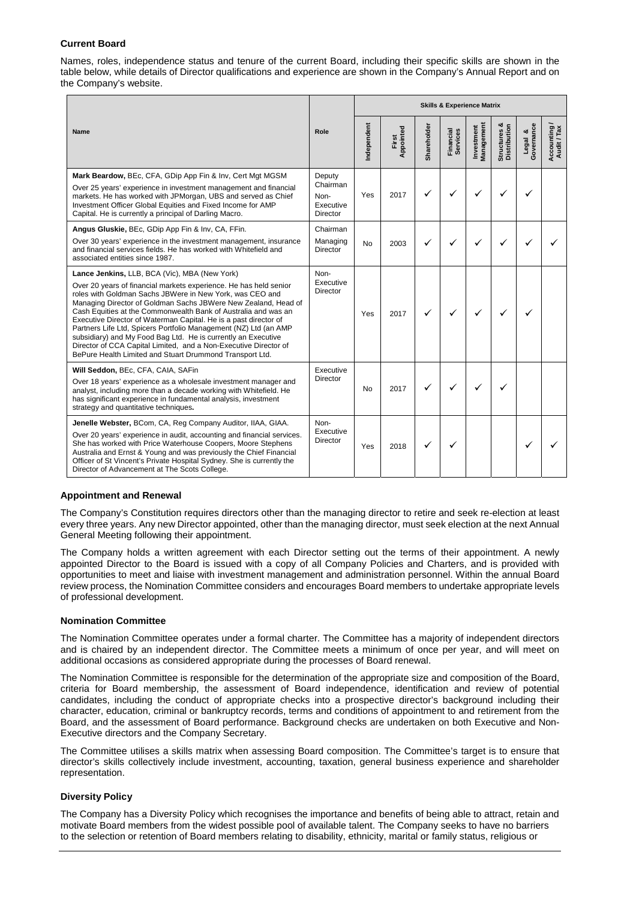## **Current Board**

Names, roles, independence status and tenure of the current Board, including their specific skills are shown in the table below, while details of Director qualifications and experience are shown in the Company's Annual Report and on the Company's website.

| Name                                                                                                                                                                                                                                                                                                                                                                                                                                                                                                                                                                                                                                                        | Role                                                       | <b>Skills &amp; Experience Matrix</b> |                    |              |                       |                          |                              |                       |                             |
|-------------------------------------------------------------------------------------------------------------------------------------------------------------------------------------------------------------------------------------------------------------------------------------------------------------------------------------------------------------------------------------------------------------------------------------------------------------------------------------------------------------------------------------------------------------------------------------------------------------------------------------------------------------|------------------------------------------------------------|---------------------------------------|--------------------|--------------|-----------------------|--------------------------|------------------------------|-----------------------|-----------------------------|
|                                                                                                                                                                                                                                                                                                                                                                                                                                                                                                                                                                                                                                                             |                                                            | ndependent                            | Appointed<br>First | Shareholder  | Financial<br>Services | Management<br>Investment | Structures &<br>Distribution | Legal &<br>Governance | Accounting /<br>Audit / Tax |
| Mark Beardow, BEc, CFA, GDip App Fin & Inv, Cert Mgt MGSM<br>Over 25 years' experience in investment management and financial<br>markets. He has worked with JPMorgan, UBS and served as Chief<br>Investment Officer Global Equities and Fixed Income for AMP<br>Capital. He is currently a principal of Darling Macro.                                                                                                                                                                                                                                                                                                                                     | Deputy<br>Chairman<br>Non-<br>Executive<br><b>Director</b> | Yes                                   | 2017               | $\checkmark$ | ✓                     |                          | ✓                            |                       |                             |
| Angus Gluskie, BEc, GDip App Fin & Inv, CA, FFin.<br>Over 30 years' experience in the investment management, insurance<br>and financial services fields. He has worked with Whitefield and<br>associated entities since 1987.                                                                                                                                                                                                                                                                                                                                                                                                                               | Chairman<br>Managing<br>Director                           | <b>No</b>                             | 2003               |              |                       |                          | ✓                            |                       |                             |
| Lance Jenkins, LLB, BCA (Vic), MBA (New York)<br>Over 20 years of financial markets experience. He has held senior<br>roles with Goldman Sachs JBWere in New York, was CEO and<br>Managing Director of Goldman Sachs JBWere New Zealand, Head of<br>Cash Equities at the Commonwealth Bank of Australia and was an<br>Executive Director of Waterman Capital. He is a past director of<br>Partners Life Ltd, Spicers Portfolio Management (NZ) Ltd (an AMP<br>subsidiary) and My Food Bag Ltd. He is currently an Executive<br>Director of CCA Capital Limited, and a Non-Executive Director of<br>BePure Health Limited and Stuart Drummond Transport Ltd. | Non-<br>Executive<br>Director                              | Yes                                   | 2017               | ✓            | ✓                     | $\checkmark$             | ✓                            |                       |                             |
| Will Seddon, BEc, CFA, CAIA, SAFin<br>Over 18 years' experience as a wholesale investment manager and<br>analyst, including more than a decade working with Whitefield. He<br>has significant experience in fundamental analysis, investment<br>strategy and quantitative techniques.                                                                                                                                                                                                                                                                                                                                                                       | Executive<br>Director                                      | No                                    | 2017               | $\checkmark$ | ✓                     | ✓                        | ✓                            |                       |                             |
| Jenelle Webster, BCom, CA, Reg Company Auditor, IIAA, GIAA.<br>Over 20 years' experience in audit, accounting and financial services.<br>She has worked with Price Waterhouse Coopers, Moore Stephens<br>Australia and Ernst & Young and was previously the Chief Financial<br>Officer of St Vincent's Private Hospital Sydney. She is currently the<br>Director of Advancement at The Scots College.                                                                                                                                                                                                                                                       | Non-<br>Executive<br>Director                              | Yes                                   | 2018               | ✓            |                       |                          |                              |                       |                             |

## **Appointment and Renewal**

The Company's Constitution requires directors other than the managing director to retire and seek re-election at least every three years. Any new Director appointed, other than the managing director, must seek election at the next Annual General Meeting following their appointment.

The Company holds a written agreement with each Director setting out the terms of their appointment. A newly appointed Director to the Board is issued with a copy of all Company Policies and Charters, and is provided with opportunities to meet and liaise with investment management and administration personnel. Within the annual Board review process, the Nomination Committee considers and encourages Board members to undertake appropriate levels of professional development.

#### **Nomination Committee**

The Nomination Committee operates under a formal charter. The Committee has a majority of independent directors and is chaired by an independent director. The Committee meets a minimum of once per year, and will meet on additional occasions as considered appropriate during the processes of Board renewal.

The Nomination Committee is responsible for the determination of the appropriate size and composition of the Board, criteria for Board membership, the assessment of Board independence, identification and review of potential candidates, including the conduct of appropriate checks into a prospective director's background including their character, education, criminal or bankruptcy records, terms and conditions of appointment to and retirement from the Board, and the assessment of Board performance. Background checks are undertaken on both Executive and Non-Executive directors and the Company Secretary.

The Committee utilises a skills matrix when assessing Board composition. The Committee's target is to ensure that director's skills collectively include investment, accounting, taxation, general business experience and shareholder representation.

## **Diversity Policy**

The Company has a Diversity Policy which recognises the importance and benefits of being able to attract, retain and motivate Board members from the widest possible pool of available talent. The Company seeks to have no barriers to the selection or retention of Board members relating to disability, ethnicity, marital or family status, religious or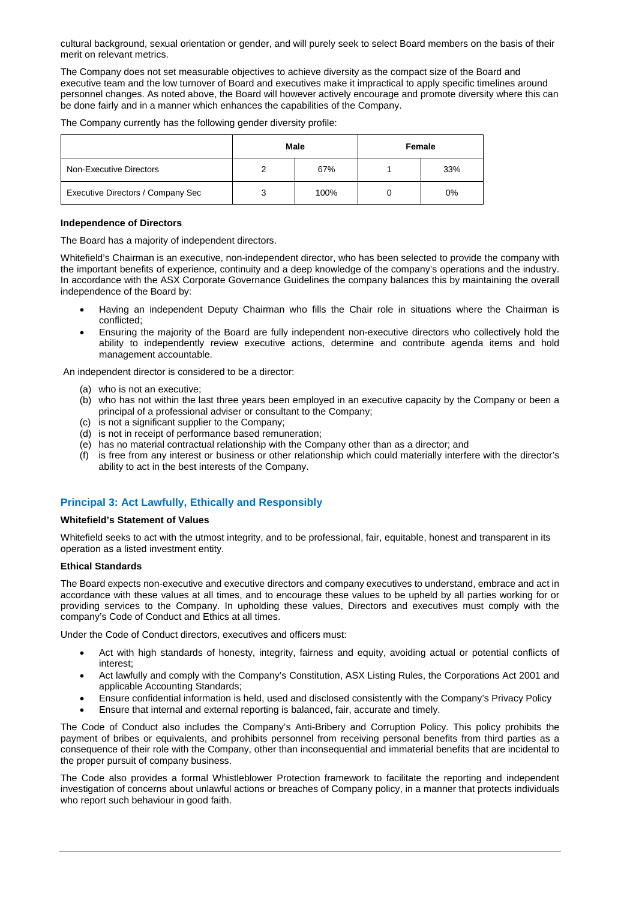cultural background, sexual orientation or gender, and will purely seek to select Board members on the basis of their merit on relevant metrics.

The Company does not set measurable objectives to achieve diversity as the compact size of the Board and executive team and the low turnover of Board and executives make it impractical to apply specific timelines around personnel changes. As noted above, the Board will however actively encourage and promote diversity where this can be done fairly and in a manner which enhances the capabilities of the Company.

The Company currently has the following gender diversity profile:

|                                   | Male | Female |     |  |  |
|-----------------------------------|------|--------|-----|--|--|
| Non-Executive Directors           | 67%  |        | 33% |  |  |
| Executive Directors / Company Sec | 100% |        | 0%  |  |  |

#### **Independence of Directors**

The Board has a majority of independent directors.

Whitefield's Chairman is an executive, non-independent director, who has been selected to provide the company with the important benefits of experience, continuity and a deep knowledge of the company's operations and the industry. In accordance with the ASX Corporate Governance Guidelines the company balances this by maintaining the overall independence of the Board by:

- Having an independent Deputy Chairman who fills the Chair role in situations where the Chairman is conflicted;
- Ensuring the majority of the Board are fully independent non-executive directors who collectively hold the ability to independently review executive actions, determine and contribute agenda items and hold management accountable.

An independent director is considered to be a director:

- (a) who is not an executive;
- (b) who has not within the last three years been employed in an executive capacity by the Company or been a principal of a professional adviser or consultant to the Company;
- (c) is not a significant supplier to the Company;
- (d) is not in receipt of performance based remuneration;
- (e) has no material contractual relationship with the Company other than as a director; and
- (f) is free from any interest or business or other relationship which could materially interfere with the director's ability to act in the best interests of the Company.

# **Principal 3: Act Lawfully, Ethically and Responsibly**

#### **Whitefield's Statement of Values**

Whitefield seeks to act with the utmost integrity, and to be professional, fair, equitable, honest and transparent in its operation as a listed investment entity.

#### **Ethical Standards**

The Board expects non-executive and executive directors and company executives to understand, embrace and act in accordance with these values at all times, and to encourage these values to be upheld by all parties working for or providing services to the Company. In upholding these values, Directors and executives must comply with the company's Code of Conduct and Ethics at all times.

Under the Code of Conduct directors, executives and officers must:

- Act with high standards of honesty, integrity, fairness and equity, avoiding actual or potential conflicts of interest;
- Act lawfully and comply with the Company's Constitution, ASX Listing Rules, the Corporations Act 2001 and applicable Accounting Standards;
- Ensure confidential information is held, used and disclosed consistently with the Company's Privacy Policy
- Ensure that internal and external reporting is balanced, fair, accurate and timely.

The Code of Conduct also includes the Company's Anti-Bribery and Corruption Policy. This policy prohibits the payment of bribes or equivalents, and prohibits personnel from receiving personal benefits from third parties as a consequence of their role with the Company, other than inconsequential and immaterial benefits that are incidental to the proper pursuit of company business.

The Code also provides a formal Whistleblower Protection framework to facilitate the reporting and independent investigation of concerns about unlawful actions or breaches of Company policy, in a manner that protects individuals who report such behaviour in good faith.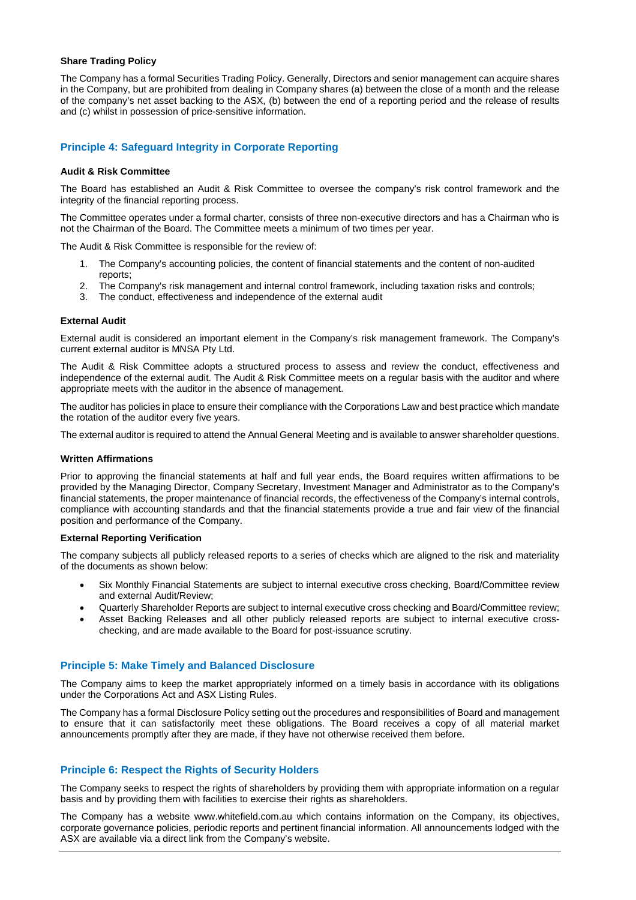## **Share Trading Policy**

The Company has a formal Securities Trading Policy. Generally, Directors and senior management can acquire shares in the Company, but are prohibited from dealing in Company shares (a) between the close of a month and the release of the company's net asset backing to the ASX, (b) between the end of a reporting period and the release of results and (c) whilst in possession of price-sensitive information.

## **Principle 4: Safeguard Integrity in Corporate Reporting**

#### **Audit & Risk Committee**

The Board has established an Audit & Risk Committee to oversee the company's risk control framework and the integrity of the financial reporting process.

The Committee operates under a formal charter, consists of three non-executive directors and has a Chairman who is not the Chairman of the Board. The Committee meets a minimum of two times per year.

The Audit & Risk Committee is responsible for the review of:

- 1. The Company's accounting policies, the content of financial statements and the content of non-audited reports;
- 2. The Company's risk management and internal control framework, including taxation risks and controls;
- 3. The conduct, effectiveness and independence of the external audit

#### **External Audit**

External audit is considered an important element in the Company's risk management framework. The Company's current external auditor is MNSA Pty Ltd.

The Audit & Risk Committee adopts a structured process to assess and review the conduct, effectiveness and independence of the external audit. The Audit & Risk Committee meets on a regular basis with the auditor and where appropriate meets with the auditor in the absence of management.

The auditor has policies in place to ensure their compliance with the Corporations Law and best practice which mandate the rotation of the auditor every five years.

The external auditor is required to attend the Annual General Meeting and is available to answer shareholder questions.

#### **Written Affirmations**

Prior to approving the financial statements at half and full year ends, the Board requires written affirmations to be provided by the Managing Director, Company Secretary, Investment Manager and Administrator as to the Company's financial statements, the proper maintenance of financial records, the effectiveness of the Company's internal controls, compliance with accounting standards and that the financial statements provide a true and fair view of the financial position and performance of the Company.

#### **External Reporting Verification**

The company subjects all publicly released reports to a series of checks which are aligned to the risk and materiality of the documents as shown below:

- Six Monthly Financial Statements are subject to internal executive cross checking, Board/Committee review and external Audit/Review;
- Quarterly Shareholder Reports are subject to internal executive cross checking and Board/Committee review;
- Asset Backing Releases and all other publicly released reports are subject to internal executive crosschecking, and are made available to the Board for post-issuance scrutiny.

#### **Principle 5: Make Timely and Balanced Disclosure**

The Company aims to keep the market appropriately informed on a timely basis in accordance with its obligations under the Corporations Act and ASX Listing Rules.

The Company has a formal Disclosure Policy setting out the procedures and responsibilities of Board and management to ensure that it can satisfactorily meet these obligations. The Board receives a copy of all material market announcements promptly after they are made, if they have not otherwise received them before.

## **Principle 6: Respect the Rights of Security Holders**

The Company seeks to respect the rights of shareholders by providing them with appropriate information on a regular basis and by providing them with facilities to exercise their rights as shareholders.

The Company has a website www.whitefield.com.au which contains information on the Company, its objectives, corporate governance policies, periodic reports and pertinent financial information. All announcements lodged with the ASX are available via a direct link from the Company's website.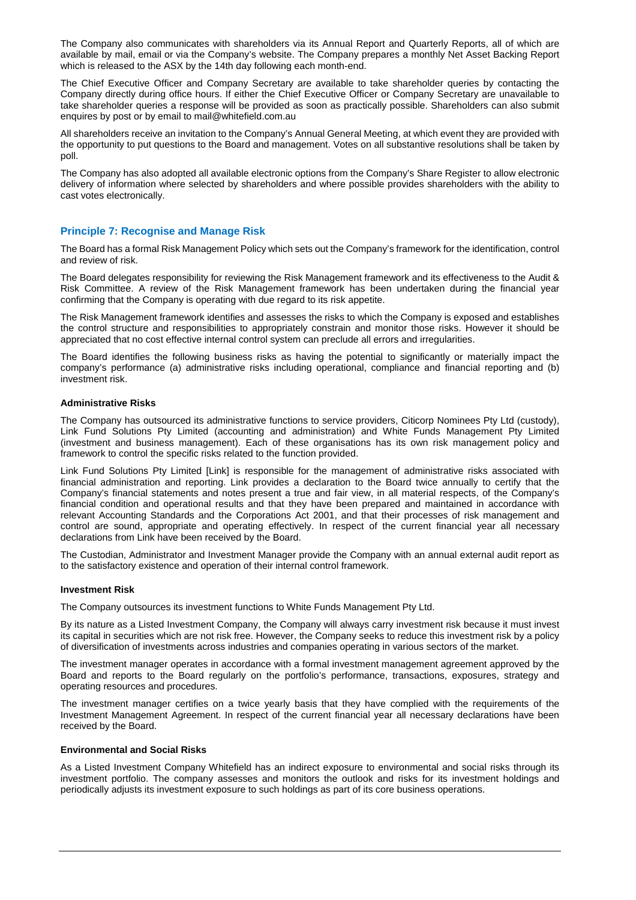The Company also communicates with shareholders via its Annual Report and Quarterly Reports, all of which are available by mail, email or via the Company's website. The Company prepares a monthly Net Asset Backing Report which is released to the ASX by the 14th day following each month-end.

The Chief Executive Officer and Company Secretary are available to take shareholder queries by contacting the Company directly during office hours. If either the Chief Executive Officer or Company Secretary are unavailable to take shareholder queries a response will be provided as soon as practically possible. Shareholders can also submit enquires by post or by email to mail@whitefield.com.au

All shareholders receive an invitation to the Company's Annual General Meeting, at which event they are provided with the opportunity to put questions to the Board and management. Votes on all substantive resolutions shall be taken by poll.

The Company has also adopted all available electronic options from the Company's Share Register to allow electronic delivery of information where selected by shareholders and where possible provides shareholders with the ability to cast votes electronically.

## **Principle 7: Recognise and Manage Risk**

The Board has a formal Risk Management Policy which sets out the Company's framework for the identification, control and review of risk.

The Board delegates responsibility for reviewing the Risk Management framework and its effectiveness to the Audit & Risk Committee. A review of the Risk Management framework has been undertaken during the financial year confirming that the Company is operating with due regard to its risk appetite.

The Risk Management framework identifies and assesses the risks to which the Company is exposed and establishes the control structure and responsibilities to appropriately constrain and monitor those risks. However it should be appreciated that no cost effective internal control system can preclude all errors and irregularities.

The Board identifies the following business risks as having the potential to significantly or materially impact the company's performance (a) administrative risks including operational, compliance and financial reporting and (b) investment risk.

## **Administrative Risks**

The Company has outsourced its administrative functions to service providers, Citicorp Nominees Pty Ltd (custody), Link Fund Solutions Pty Limited (accounting and administration) and White Funds Management Pty Limited (investment and business management). Each of these organisations has its own risk management policy and framework to control the specific risks related to the function provided.

Link Fund Solutions Pty Limited [Link] is responsible for the management of administrative risks associated with financial administration and reporting. Link provides a declaration to the Board twice annually to certify that the Company's financial statements and notes present a true and fair view, in all material respects, of the Company's financial condition and operational results and that they have been prepared and maintained in accordance with relevant Accounting Standards and the Corporations Act 2001, and that their processes of risk management and control are sound, appropriate and operating effectively. In respect of the current financial year all necessary declarations from Link have been received by the Board.

The Custodian, Administrator and Investment Manager provide the Company with an annual external audit report as to the satisfactory existence and operation of their internal control framework.

#### **Investment Risk**

The Company outsources its investment functions to White Funds Management Pty Ltd.

By its nature as a Listed Investment Company, the Company will always carry investment risk because it must invest its capital in securities which are not risk free. However, the Company seeks to reduce this investment risk by a policy of diversification of investments across industries and companies operating in various sectors of the market.

The investment manager operates in accordance with a formal investment management agreement approved by the Board and reports to the Board regularly on the portfolio's performance, transactions, exposures, strategy and operating resources and procedures.

The investment manager certifies on a twice yearly basis that they have complied with the requirements of the Investment Management Agreement. In respect of the current financial year all necessary declarations have been received by the Board.

#### **Environmental and Social Risks**

As a Listed Investment Company Whitefield has an indirect exposure to environmental and social risks through its investment portfolio. The company assesses and monitors the outlook and risks for its investment holdings and periodically adjusts its investment exposure to such holdings as part of its core business operations.